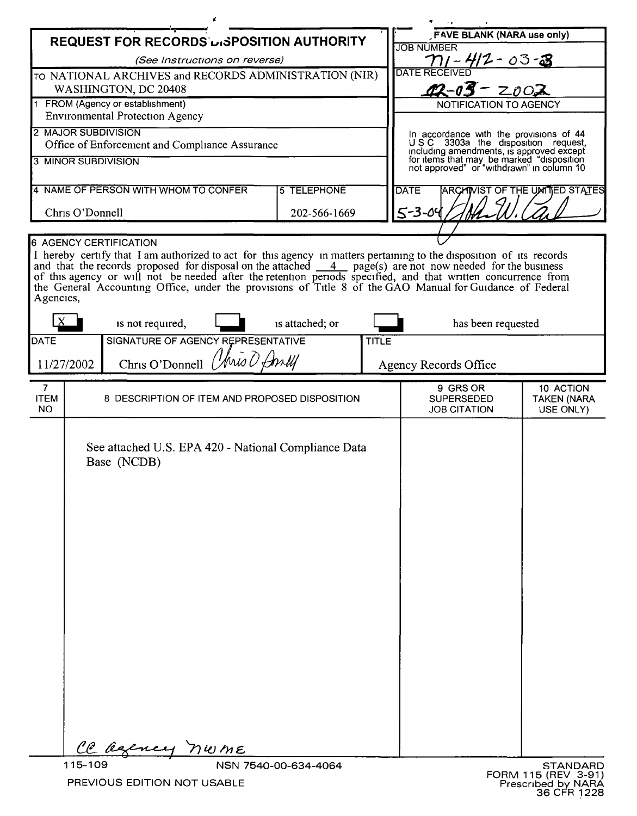| <b>REQUEST FOR RECORDS LISPOSITION AUTHORITY</b>                           |                                                                                                                                                                                                                                                     |                                                |  |                 |  | <b>FAVE BLANK (NARA use only)</b><br><b>JOB NUMBER</b>                                                                                                                                                              |                    |  |
|----------------------------------------------------------------------------|-----------------------------------------------------------------------------------------------------------------------------------------------------------------------------------------------------------------------------------------------------|------------------------------------------------|--|-----------------|--|---------------------------------------------------------------------------------------------------------------------------------------------------------------------------------------------------------------------|--------------------|--|
| (See Instructions on reverse)                                              |                                                                                                                                                                                                                                                     |                                                |  |                 |  | 412-03-3                                                                                                                                                                                                            |                    |  |
| TO NATIONAL ARCHIVES and RECORDS ADMINISTRATION (NIR)                      |                                                                                                                                                                                                                                                     |                                                |  |                 |  | <b>DATE RECEIVED</b>                                                                                                                                                                                                |                    |  |
| WASHINGTON, DC 20408                                                       |                                                                                                                                                                                                                                                     |                                                |  |                 |  | $42 - 03 - 2002$                                                                                                                                                                                                    |                    |  |
| 1 FROM (Agency or establishment)<br><b>Environmental Protection Agency</b> |                                                                                                                                                                                                                                                     |                                                |  |                 |  | NOTIFICATION TO AGENCY                                                                                                                                                                                              |                    |  |
| 2 MAJOR SUBDIVISION                                                        |                                                                                                                                                                                                                                                     |                                                |  |                 |  |                                                                                                                                                                                                                     |                    |  |
| Office of Enforcement and Compliance Assurance                             |                                                                                                                                                                                                                                                     |                                                |  |                 |  | In accordance with the provisions of 44<br>USC 3303a the disposition request,<br>including amendments, is approved except<br>for items that may be marked "disposition<br>not approved" or "withdrawn" in column 10 |                    |  |
| 3 MINOR SUBDIVISION                                                        |                                                                                                                                                                                                                                                     |                                                |  |                 |  |                                                                                                                                                                                                                     |                    |  |
|                                                                            |                                                                                                                                                                                                                                                     |                                                |  |                 |  |                                                                                                                                                                                                                     |                    |  |
| 4 NAME OF PERSON WITH WHOM TO CONFER<br><b>5 TELEPHONE</b>                 |                                                                                                                                                                                                                                                     |                                                |  |                 |  | ARCHIVIST OF THE UNITED STATES<br><b>DATE</b>                                                                                                                                                                       |                    |  |
| Chris O'Donnell<br>202-566-1669                                            |                                                                                                                                                                                                                                                     |                                                |  |                 |  | $5 - 3 - 04$                                                                                                                                                                                                        |                    |  |
|                                                                            |                                                                                                                                                                                                                                                     |                                                |  |                 |  |                                                                                                                                                                                                                     |                    |  |
| <b>6 AGENCY CERTIFICATION</b>                                              |                                                                                                                                                                                                                                                     |                                                |  |                 |  |                                                                                                                                                                                                                     |                    |  |
|                                                                            | I hereby certify that I am authorized to act for this agency in matters pertaining to the disposition of its records<br>and that the records proposed for disposal on the attached $\frac{4}{\sqrt{2}}$ page(s) are not now needed for the business |                                                |  |                 |  |                                                                                                                                                                                                                     |                    |  |
|                                                                            | of this agency or will not be needed after the retention periods specified, and that written concurrence from                                                                                                                                       |                                                |  |                 |  |                                                                                                                                                                                                                     |                    |  |
|                                                                            | the General Accounting Office, under the provisions of Title 8 of the GAO Manual for Guidance of Federal<br>Agencies,                                                                                                                               |                                                |  |                 |  |                                                                                                                                                                                                                     |                    |  |
|                                                                            |                                                                                                                                                                                                                                                     |                                                |  |                 |  |                                                                                                                                                                                                                     |                    |  |
|                                                                            |                                                                                                                                                                                                                                                     | is not required,                               |  | is attached; or |  | has been requested                                                                                                                                                                                                  |                    |  |
|                                                                            | SIGNATURE OF AGENCY REPRESENTATIVE<br>DATE<br><b>TITLE</b>                                                                                                                                                                                          |                                                |  |                 |  |                                                                                                                                                                                                                     |                    |  |
|                                                                            | Chris O'Donnell (Aris O Anll<br>11/27/2002                                                                                                                                                                                                          |                                                |  |                 |  | Agency Records Office                                                                                                                                                                                               |                    |  |
| 7 <sup>1</sup>                                                             |                                                                                                                                                                                                                                                     |                                                |  |                 |  | 9 GRS OR                                                                                                                                                                                                            | 10 ACTION          |  |
| <b>ITEM</b>                                                                |                                                                                                                                                                                                                                                     | 8 DESCRIPTION OF ITEM AND PROPOSED DISPOSITION |  |                 |  | <b>SUPERSEDED</b>                                                                                                                                                                                                   | <b>TAKEN (NARA</b> |  |
| <b>NO</b>                                                                  |                                                                                                                                                                                                                                                     |                                                |  |                 |  | <b>JOB CITATION</b>                                                                                                                                                                                                 | USE ONLY)          |  |
|                                                                            |                                                                                                                                                                                                                                                     |                                                |  |                 |  |                                                                                                                                                                                                                     |                    |  |
|                                                                            | See attached U.S. EPA 420 - National Compliance Data                                                                                                                                                                                                |                                                |  |                 |  |                                                                                                                                                                                                                     |                    |  |
|                                                                            | Base (NCDB)                                                                                                                                                                                                                                         |                                                |  |                 |  |                                                                                                                                                                                                                     |                    |  |
|                                                                            |                                                                                                                                                                                                                                                     |                                                |  |                 |  |                                                                                                                                                                                                                     |                    |  |
|                                                                            |                                                                                                                                                                                                                                                     |                                                |  |                 |  |                                                                                                                                                                                                                     |                    |  |
|                                                                            |                                                                                                                                                                                                                                                     |                                                |  |                 |  |                                                                                                                                                                                                                     |                    |  |
|                                                                            |                                                                                                                                                                                                                                                     |                                                |  |                 |  |                                                                                                                                                                                                                     |                    |  |
|                                                                            |                                                                                                                                                                                                                                                     |                                                |  |                 |  |                                                                                                                                                                                                                     |                    |  |
|                                                                            |                                                                                                                                                                                                                                                     |                                                |  |                 |  |                                                                                                                                                                                                                     |                    |  |
|                                                                            |                                                                                                                                                                                                                                                     |                                                |  |                 |  |                                                                                                                                                                                                                     |                    |  |
|                                                                            |                                                                                                                                                                                                                                                     |                                                |  |                 |  |                                                                                                                                                                                                                     |                    |  |
|                                                                            |                                                                                                                                                                                                                                                     |                                                |  |                 |  |                                                                                                                                                                                                                     |                    |  |
|                                                                            |                                                                                                                                                                                                                                                     |                                                |  |                 |  |                                                                                                                                                                                                                     |                    |  |
|                                                                            |                                                                                                                                                                                                                                                     |                                                |  |                 |  |                                                                                                                                                                                                                     |                    |  |
|                                                                            |                                                                                                                                                                                                                                                     |                                                |  |                 |  |                                                                                                                                                                                                                     |                    |  |
|                                                                            |                                                                                                                                                                                                                                                     |                                                |  |                 |  |                                                                                                                                                                                                                     |                    |  |
|                                                                            |                                                                                                                                                                                                                                                     |                                                |  |                 |  |                                                                                                                                                                                                                     |                    |  |
|                                                                            |                                                                                                                                                                                                                                                     |                                                |  |                 |  |                                                                                                                                                                                                                     |                    |  |
|                                                                            |                                                                                                                                                                                                                                                     |                                                |  |                 |  |                                                                                                                                                                                                                     |                    |  |
|                                                                            |                                                                                                                                                                                                                                                     | Ce agency nwme                                 |  |                 |  |                                                                                                                                                                                                                     |                    |  |
|                                                                            | 115-109<br>NSN 7540-00-634-4064                                                                                                                                                                                                                     |                                                |  |                 |  |                                                                                                                                                                                                                     | <b>STANDARD</b>    |  |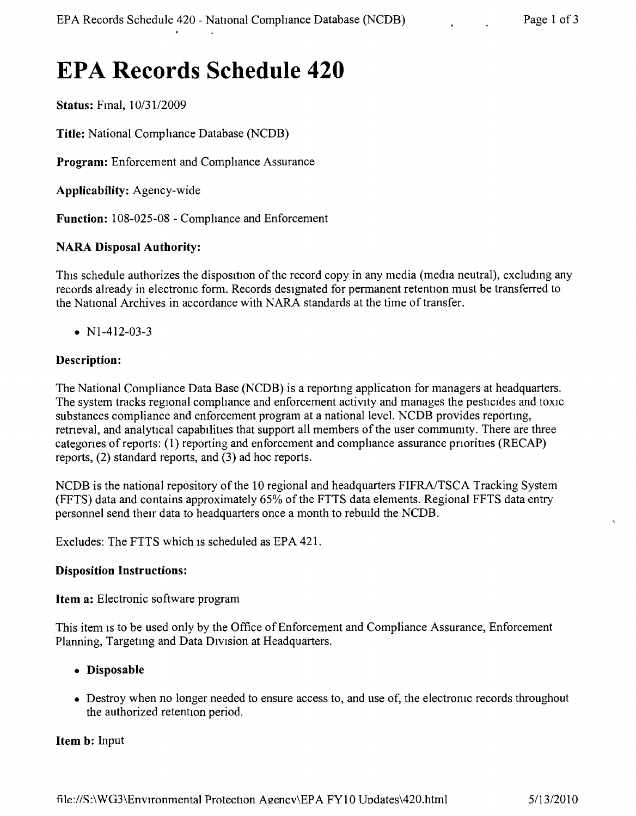# **EPA Records Schedule 420**

**Status:** FInal, *10/31/2009*

Title: National Compliance Database (NCDB)

**Program:** Enforcement and Compliance Assurance

**Applicability:** Agency-wide

**Function:** 108-025-08 - Comphance and Enforcement

## **NARA Disposal Authority:**

This schedule authorizes the disposition of the record copy in any media (media neutral), excluding any records already in electronic form. Records designated for permanent retention must be transferred to the National Archives in accordance with NARA standards at the time of transfer.

•  $N1-412-03-3$ 

## **Description:**

The National Compliance Data Base (NCDB) is a reporting application for managers at headquarters. The system tracks regional compliance and enforcement activity and manages the pesticides and toxic substances compliance and enforcement program at a national level. NCDB provides reportmg, retneval, and analytical capabilities that support all members of the user commumty. There are three categories of reports: (1) reporting and enforcement and compliance assurance priorities (RECAP) reports, (2) standard reports, and (3) ad hoc reports.

NCDB is the national repository of the 10 regional and headquarters FIFRA/TSCA Tracking System (FFTS) data and contains approximately 65% of the FTTS data elements. Regional FFTS data entry personnel send their data to headquarters once a month to rebuild the NCDB.

Excludes: The FTTS which is scheduled as EPA 421.

#### **Disposition Instructions:**

**Item a:** Electronic software program

This item is to be used only by the Office of Enforcement and Compliance Assurance, Enforcement Planning, Targeting and Data Division at Headquarters.

#### **• Disposable**

• Destroy when no longer needed to ensure access to, and use of, the electronic records throughout the authorized retention period.

#### **Item b:** Input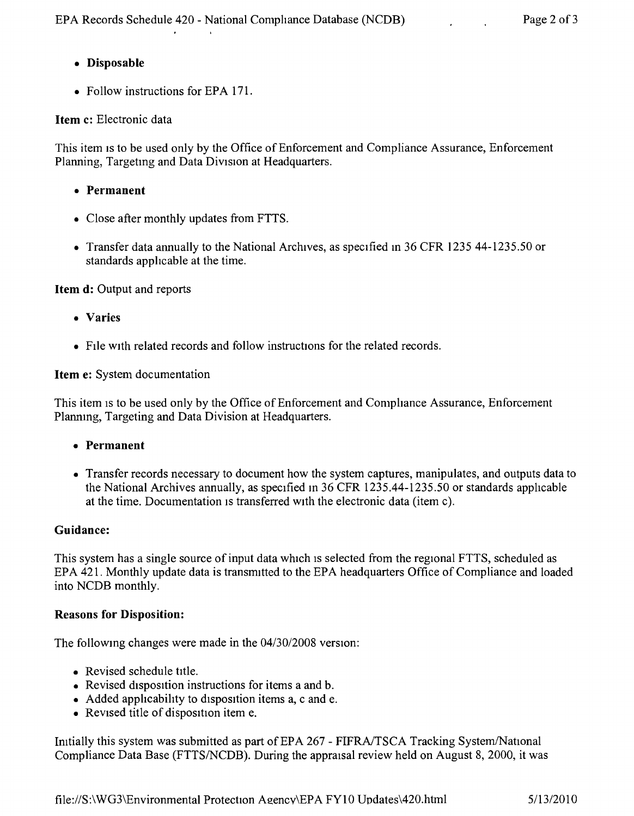## **• Disposable**

• Follow instructions for EPA 171.

## **Item c:** Electronic data

This item is to be used only by the Office of Enforcement and Compliance Assurance, Enforcement Planning, Targetmg and Data Division at Headquarters.

- **• Permanent**
- Close after monthly updates from FTTS.
- Transfer data annually to the National Archives, as specified in 36 CFR 1235 44-1235.50 or standards applicable at the time.

**Item d:** Output and reports

- **• Varies**
- File with related records and follow instructions for the related records.

**Item e:** System documentation

This item is to be used only by the Office of Enforcement and Compliance Assurance, Enforcement Plannmg, Targeting and Data Division at Headquarters.

- **• Permanent**
- Transfer records necessary to document how the system captures, manipulates, and outputs data to the National Archives annually, as specified m 36 CFR 1235.44-1235.50 or standards apphcable at the time. Documentation is transferred with the electronic data (item c).

#### **Guidance:**

This system has a single source of input data which is selected from the regional FTTS, scheduled as EPA 421. Monthly update data is transmitted to the EPA headquarters Office of Compliance and loaded into NCDB monthly.

#### **Reasons for Disposition:**

The following changes were made in the  $04/30/2008$  version:

- Revised schedule title.
- Revised disposition instructions for items a and b.
- Added applicability to disposition items a, c and e.
- Revised title of disposition item e.

Initially this system was submitted as part of EPA 267 - FIFRA/TSCA Tracking System/National Compliance Data Base (FTTS/NCDB). During the appraisal review held on August 8, 2000, it was